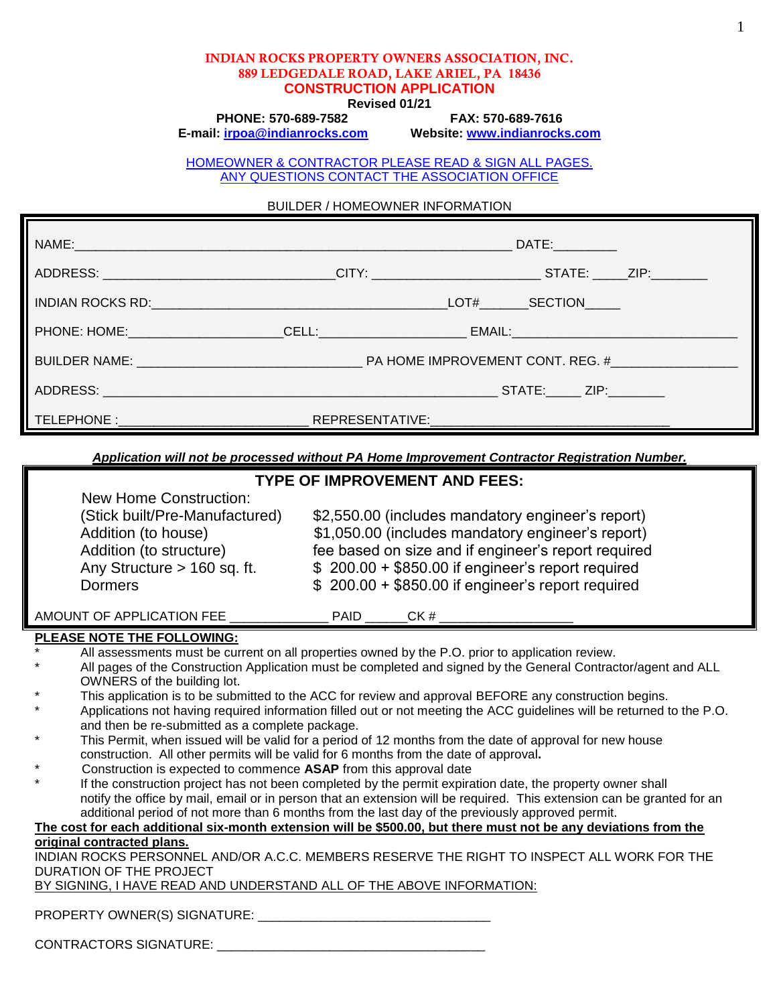#### **INDIAN ROCKS PROPERTY OWNERS ASSOCIATION, INC. 889 LEDGEDALE ROAD, LAKE ARIEL, PA 18436 CONSTRUCTION APPLICATION**

**Revised 01/21**

**PHONE: 570-689-7582 FAX: 570-689-7616**

**E-mail: [irpoa@indianrocks.com](mailto:irpoa@indianrocks.com) Website: [www.indianrocks.com](http://www.indianrocks.com/)**

HOMEOWNER & CONTRACTOR PLEASE READ & SIGN ALL PAGES. ANY QUESTIONS CONTACT THE ASSOCIATION OFFICE

BUILDER / HOMEOWNER INFORMATION

|                                                                                                                                                                                                                                | DATE:        |
|--------------------------------------------------------------------------------------------------------------------------------------------------------------------------------------------------------------------------------|--------------|
|                                                                                                                                                                                                                                |              |
| INDIAN ROCKS RD: University of the UNITED STATES AND THE UNITED STATES AND THE UNITED STATES AND THE UNITED STATES AND THE UNITED STATES AND THE UNITED STATES AND THE UNITED STATES AND THE UNITED STATES AND THE UNITED STAT | LOT# SECTION |
|                                                                                                                                                                                                                                |              |
| BUILDER NAME: THE RESERVITY ON THE RESERVE OF PARTICULAR IMPROVEMENT CONT. REG. #                                                                                                                                              |              |
|                                                                                                                                                                                                                                |              |
|                                                                                                                                                                                                                                |              |

*Application will not be processed without PA Home Improvement Contractor Registration Number.*

#### **TYPE OF IMPROVEMENT AND FEES:**

| (Stick built/Pre-Manufactured) | \$2,550.00 (includes mandatory engineer's report)   |
|--------------------------------|-----------------------------------------------------|
| Addition (to house)            | \$1,050.00 (includes mandatory engineer's report)   |
| Addition (to structure)        | fee based on size and if engineer's report required |
| Any Structure $> 160$ sq. ft.  | $$200.00 + $850.00$ if engineer's report required   |
| Dormers                        | $$200.00 + $850.00$ if engineer's report required   |

AMOUNT OF APPLICATION FEE PAID CK #

### **PLEASE NOTE THE FOLLOWING:**

All assessments must be current on all properties owned by the P.O. prior to application review.

- All pages of the Construction Application must be completed and signed by the General Contractor/agent and ALL OWNERS of the building lot.
- This application is to be submitted to the ACC for review and approval BEFORE any construction begins.
- Applications not having required information filled out or not meeting the ACC guidelines will be returned to the P.O. and then be re-submitted as a complete package.
- This Permit, when issued will be valid for a period of 12 months from the date of approval for new house construction. All other permits will be valid for 6 months from the date of approval**.**
- \* Construction is expected to commence **ASAP** from this approval date
- If the construction project has not been completed by the permit expiration date, the property owner shall notify the office by mail, email or in person that an extension will be required. This extension can be granted for an additional period of not more than 6 months from the last day of the previously approved permit.

### **The cost for each additional six-month extension will be \$500.00, but there must not be any deviations from the original contracted plans.**

INDIAN ROCKS PERSONNEL AND/OR A.C.C. MEMBERS RESERVE THE RIGHT TO INSPECT ALL WORK FOR THE DURATION OF THE PROJECT

BY SIGNING, I HAVE READ AND UNDERSTAND ALL OF THE ABOVE INFORMATION:

PROPERTY OWNER(S) SIGNATURE: \_\_\_\_\_\_\_\_\_\_\_\_\_\_\_\_\_\_\_\_\_\_\_\_\_\_\_\_\_\_\_\_\_

CONTRACTORS SIGNATURE: \_\_\_\_\_\_\_\_\_\_\_\_\_\_\_\_\_\_\_\_\_\_\_\_\_\_\_\_\_\_\_\_\_\_\_\_\_\_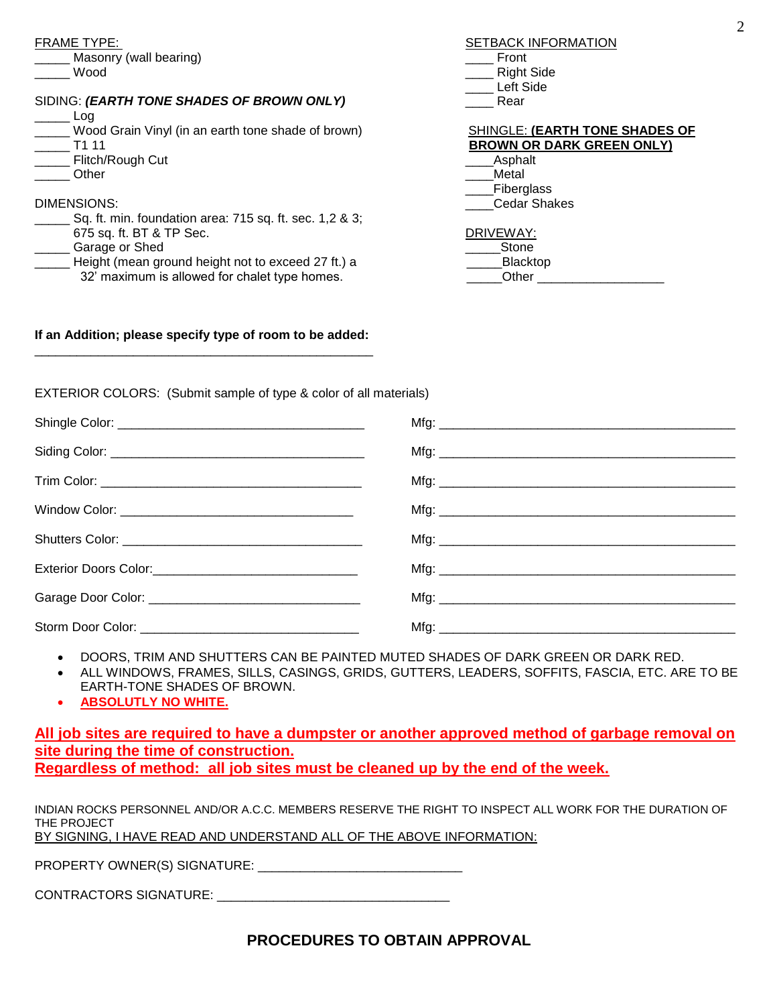| <b>FRAME TYPE:</b>                                      | <b>SETBACK INFORMATION</b>            |
|---------------------------------------------------------|---------------------------------------|
| Masonry (wall bearing)                                  | Front                                 |
| Wood                                                    | <b>Right Side</b>                     |
|                                                         | Left Side                             |
| SIDING: (EARTH TONE SHADES OF BROWN ONLY)               | Rear                                  |
| Log                                                     |                                       |
| Wood Grain Vinyl (in an earth tone shade of brown)      | <b>SHINGLE: (EARTH TONE SHADES OF</b> |
| T1 11                                                   | <b>BROWN OR DARK GREEN ONLY)</b>      |
| Flitch/Rough Cut                                        | Asphalt                               |
| Other                                                   | Metal                                 |
|                                                         | Fiberglass                            |
| DIMENSIONS:                                             | <b>Cedar Shakes</b>                   |
| Sq. ft. min. foundation area: 715 sq. ft. sec. 1,2 & 3; |                                       |
| 675 sq. ft. BT & TP Sec.                                | DRIVEWAY:                             |
| Garage or Shed                                          | Stone                                 |
| Height (mean ground height not to exceed 27 ft.) a      | <b>Blacktop</b>                       |
| 32' maximum is allowed for chalet type homes.           | Other                                 |
|                                                         |                                       |

#### **If an Addition; please specify type of room to be added:**  \_\_\_\_\_\_\_\_\_\_\_\_\_\_\_\_\_\_\_\_\_\_\_\_\_\_\_\_\_\_\_\_\_\_\_\_\_\_\_\_\_\_\_\_\_\_\_\_

EXTERIOR COLORS: (Submit sample of type & color of all materials)

- DOORS, TRIM AND SHUTTERS CAN BE PAINTED MUTED SHADES OF DARK GREEN OR DARK RED.
- ALL WINDOWS, FRAMES, SILLS, CASINGS, GRIDS, GUTTERS, LEADERS, SOFFITS, FASCIA, ETC. ARE TO BE EARTH-TONE SHADES OF BROWN.
- **ABSOLUTLY NO WHITE.**

**All job sites are required to have a dumpster or another approved method of garbage removal on site during the time of construction. Regardless of method: all job sites must be cleaned up by the end of the week.**

INDIAN ROCKS PERSONNEL AND/OR A.C.C. MEMBERS RESERVE THE RIGHT TO INSPECT ALL WORK FOR THE DURATION OF THE PROJECT BY SIGNING, I HAVE READ AND UNDERSTAND ALL OF THE ABOVE INFORMATION:

PROPERTY OWNER(S) SIGNATURE: \_\_\_\_\_\_\_\_\_\_\_\_\_\_\_\_\_\_\_\_\_\_\_\_\_\_\_\_\_

CONTRACTORS SIGNATURE:

# **PROCEDURES TO OBTAIN APPROVAL**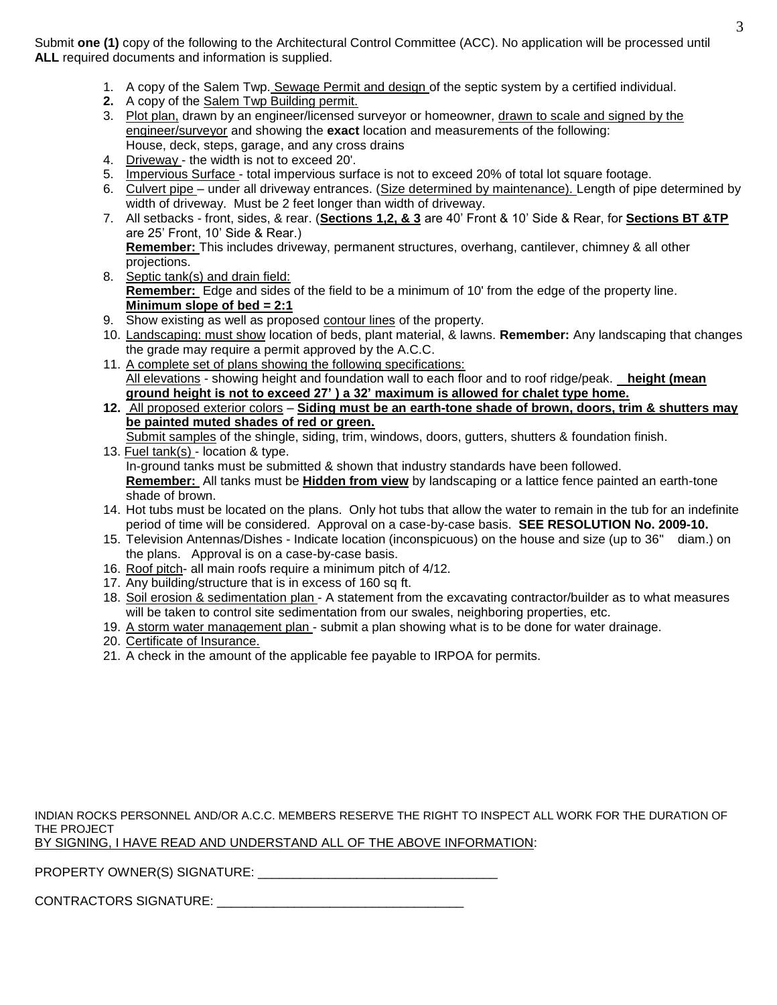Submit **one (1)** copy of the following to the Architectural Control Committee (ACC). No application will be processed until **ALL** required documents and information is supplied.

- 1. A copy of the Salem Twp. Sewage Permit and design of the septic system by a certified individual.
- **2.** A copy of the Salem Twp Building permit.
- 3. Plot plan, drawn by an engineer/licensed surveyor or homeowner, drawn to scale and signed by the engineer/surveyor and showing the **exact** location and measurements of the following: House, deck, steps, garage, and any cross drains
- 4. Driveway the width is not to exceed 20'.
- 5. Impervious Surface total impervious surface is not to exceed 20% of total lot square footage.
- 6. Culvert pipe under all driveway entrances. (Size determined by maintenance). Length of pipe determined by width of driveway. Must be 2 feet longer than width of driveway.
- 7. All setbacks front, sides, & rear. (**Sections 1,2, & 3** are 40' Front & 10' Side & Rear, for **Sections BT &TP**  are 25' Front, 10' Side & Rear.) **Remember:** This includes driveway, permanent structures, overhang, cantilever, chimney & all other
- projections. 8. Septic tank(s) and drain field: **Remember:** Edge and sides of the field to be a minimum of 10' from the edge of the property line. **Minimum slope of bed = 2:1**
- 9. Show existing as well as proposed contour lines of the property.
- 10. Landscaping: must show location of beds, plant material, & lawns. **Remember:** Any landscaping that changes the grade may require a permit approved by the A.C.C.
- 11. A complete set of plans showing the following specifications: All elevations - showing height and foundation wall to each floor and to roof ridge/peak. **height (mean ground height is not to exceed 27' ) a 32' maximum is allowed for chalet type home.**
- **12.** All proposed exterior colors **Siding must be an earth-tone shade of brown, doors, trim & shutters may be painted muted shades of red or green.**
- Submit samples of the shingle, siding, trim, windows, doors, gutters, shutters & foundation finish. 13. Fuel tank(s) - location & type.

In-ground tanks must be submitted & shown that industry standards have been followed. **Remember:** All tanks must be **Hidden from view** by landscaping or a lattice fence painted an earth-tone shade of brown.

- 14. Hot tubs must be located on the plans. Only hot tubs that allow the water to remain in the tub for an indefinite period of time will be considered. Approval on a case-by-case basis. **SEE RESOLUTION No. 2009-10.**
- 15. Television Antennas/Dishes Indicate location (inconspicuous) on the house and size (up to 36" diam.) on the plans. Approval is on a case-by-case basis.
- 16. Roof pitch- all main roofs require a minimum pitch of 4/12.
- 17. Any building/structure that is in excess of 160 sq ft.
- 18. Soil erosion & sedimentation plan A statement from the excavating contractor/builder as to what measures will be taken to control site sedimentation from our swales, neighboring properties, etc.
- 19. A storm water management plan submit a plan showing what is to be done for water drainage.
- 20. Certificate of Insurance.
- 21. A check in the amount of the applicable fee payable to IRPOA for permits.

INDIAN ROCKS PERSONNEL AND/OR A.C.C. MEMBERS RESERVE THE RIGHT TO INSPECT ALL WORK FOR THE DURATION OF THE PROJECT BY SIGNING, I HAVE READ AND UNDERSTAND ALL OF THE ABOVE INFORMATION:

PROPERTY OWNER(S) SIGNATURE: \_\_\_\_\_\_\_\_\_\_\_\_\_\_\_\_\_\_\_\_\_\_\_\_\_\_\_\_\_\_\_\_\_\_

CONTRACTORS SIGNATURE: \_\_\_\_\_\_\_\_\_\_\_\_\_\_\_\_\_\_\_\_\_\_\_\_\_\_\_\_\_\_\_\_\_\_\_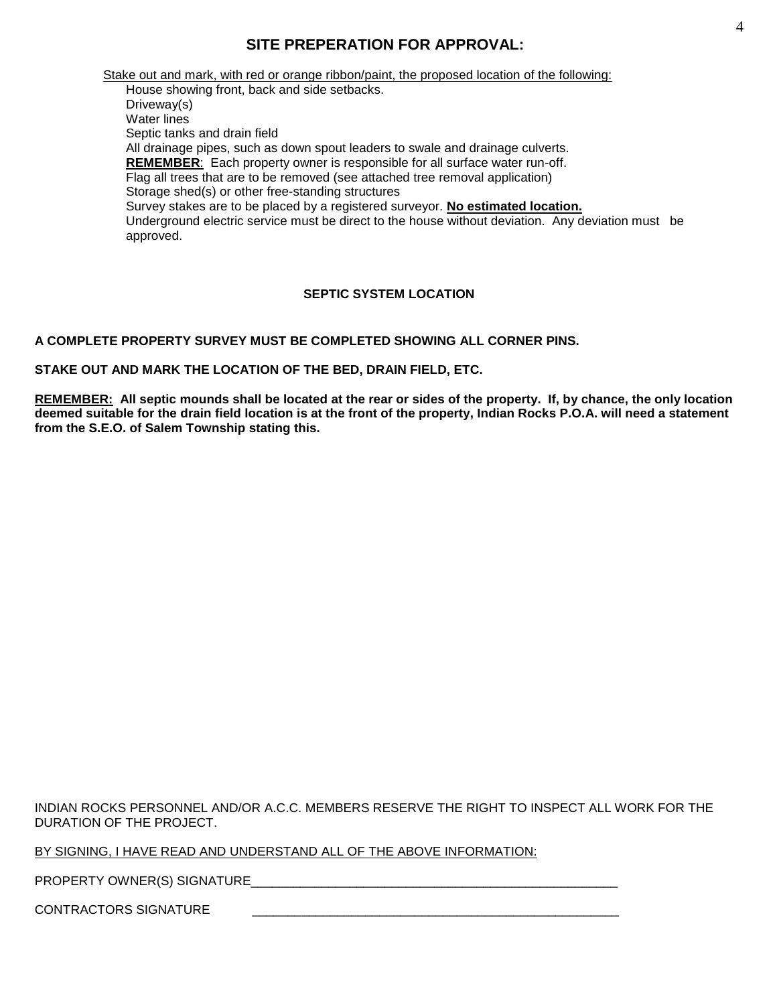## **SITE PREPERATION FOR APPROVAL:**

Stake out and mark, with red or orange ribbon/paint, the proposed location of the following: House showing front, back and side setbacks. Driveway(s) Water lines Septic tanks and drain field All drainage pipes, such as down spout leaders to swale and drainage culverts. **REMEMBER**: Each property owner is responsible for all surface water run-off. Flag all trees that are to be removed (see attached tree removal application) Storage shed(s) or other free-standing structures Survey stakes are to be placed by a registered surveyor. **No estimated location.** Underground electric service must be direct to the house without deviation. Any deviation must be approved.

### **SEPTIC SYSTEM LOCATION**

**A COMPLETE PROPERTY SURVEY MUST BE COMPLETED SHOWING ALL CORNER PINS.**

**STAKE OUT AND MARK THE LOCATION OF THE BED, DRAIN FIELD, ETC.**

**REMEMBER: All septic mounds shall be located at the rear or sides of the property. If, by chance, the only location deemed suitable for the drain field location is at the front of the property, Indian Rocks P.O.A. will need a statement from the S.E.O. of Salem Township stating this.**

INDIAN ROCKS PERSONNEL AND/OR A.C.C. MEMBERS RESERVE THE RIGHT TO INSPECT ALL WORK FOR THE DURATION OF THE PROJECT.

BY SIGNING, I HAVE READ AND UNDERSTAND ALL OF THE ABOVE INFORMATION:

PROPERTY OWNER(S) SIGNATURE\_\_\_\_\_\_\_\_\_\_\_\_\_\_\_\_\_\_\_\_\_\_\_\_\_\_\_\_\_\_\_\_\_\_\_\_\_\_\_\_\_\_\_\_\_\_\_\_\_\_\_\_

CONTRACTORS SIGNATURE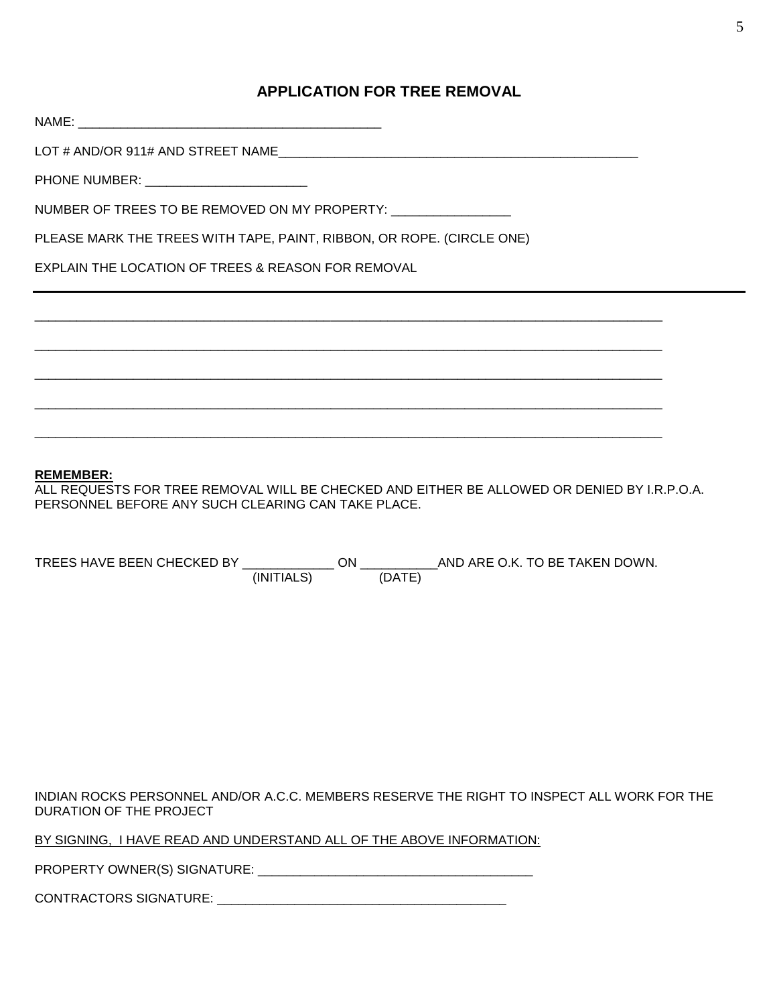## **APPLICATION FOR TREE REMOVAL**

| PHONE NUMBER: ___________________________                             |  |
|-----------------------------------------------------------------------|--|
| NUMBER OF TREES TO BE REMOVED ON MY PROPERTY: _________________       |  |
| PLEASE MARK THE TREES WITH TAPE, PAINT, RIBBON, OR ROPE. (CIRCLE ONE) |  |
| <b>EXPLAIN THE LOCATION OF TREES &amp; REASON FOR REMOVAL</b>         |  |
|                                                                       |  |
|                                                                       |  |
|                                                                       |  |
|                                                                       |  |
|                                                                       |  |

#### **REMEMBER:**

ALL REQUESTS FOR TREE REMOVAL WILL BE CHECKED AND EITHER BE ALLOWED OR DENIED BY I.R.P.O.A. PERSONNEL BEFORE ANY SUCH CLEARING CAN TAKE PLACE.

| TREES HAVE BEEN CHECKED BY |            | าN |        | AND ARE O.K. TO BE TAKEN DOWN. |
|----------------------------|------------|----|--------|--------------------------------|
|                            | (INITIALS) |    | (DATE) |                                |

INDIAN ROCKS PERSONNEL AND/OR A.C.C. MEMBERS RESERVE THE RIGHT TO INSPECT ALL WORK FOR THE DURATION OF THE PROJECT

BY SIGNING, I HAVE READ AND UNDERSTAND ALL OF THE ABOVE INFORMATION:

PROPERTY OWNER(S) SIGNATURE: \_\_\_\_\_\_\_\_\_\_\_\_\_\_\_\_\_\_\_\_\_\_\_\_\_\_\_\_\_\_\_\_\_\_\_\_\_\_\_

CONTRACTORS SIGNATURE: \_\_\_\_\_\_\_\_\_\_\_\_\_\_\_\_\_\_\_\_\_\_\_\_\_\_\_\_\_\_\_\_\_\_\_\_\_\_\_\_\_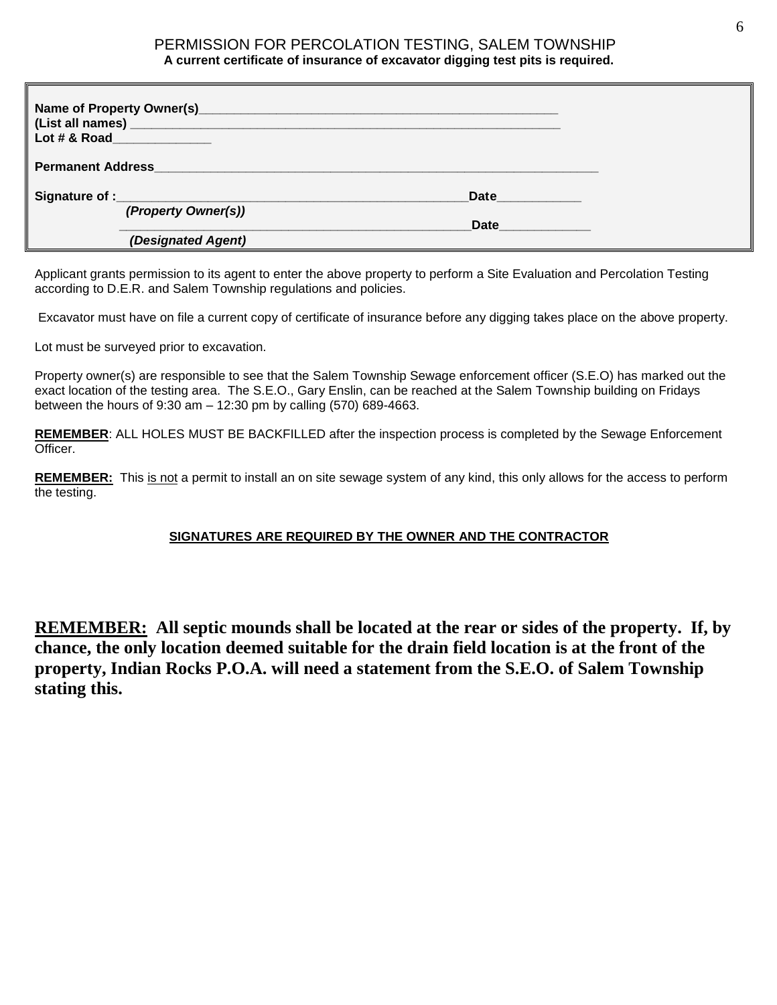### PERMISSION FOR PERCOLATION TESTING, SALEM TOWNSHIP **A current certificate of insurance of excavator digging test pits is required.**

|                          | Lot # & Road New York 1997 |      |  |
|--------------------------|----------------------------|------|--|
| <b>Permanent Address</b> |                            |      |  |
|                          |                            |      |  |
|                          |                            | Date |  |
|                          | (Property Owner(s))        |      |  |
|                          |                            | Date |  |
|                          | (Designated Agent)         |      |  |

Applicant grants permission to its agent to enter the above property to perform a Site Evaluation and Percolation Testing according to D.E.R. and Salem Township regulations and policies.

Excavator must have on file a current copy of certificate of insurance before any digging takes place on the above property.

Lot must be surveyed prior to excavation.

Property owner(s) are responsible to see that the Salem Township Sewage enforcement officer (S.E.O) has marked out the exact location of the testing area. The S.E.O., Gary Enslin, can be reached at the Salem Township building on Fridays between the hours of 9:30 am – 12:30 pm by calling (570) 689-4663.

**REMEMBER**: ALL HOLES MUST BE BACKFILLED after the inspection process is completed by the Sewage Enforcement Officer.

**REMEMBER:** This is not a permit to install an on site sewage system of any kind, this only allows for the access to perform the testing.

### **SIGNATURES ARE REQUIRED BY THE OWNER AND THE CONTRACTOR**

**REMEMBER: All septic mounds shall be located at the rear or sides of the property. If, by chance, the only location deemed suitable for the drain field location is at the front of the property, Indian Rocks P.O.A. will need a statement from the S.E.O. of Salem Township stating this.**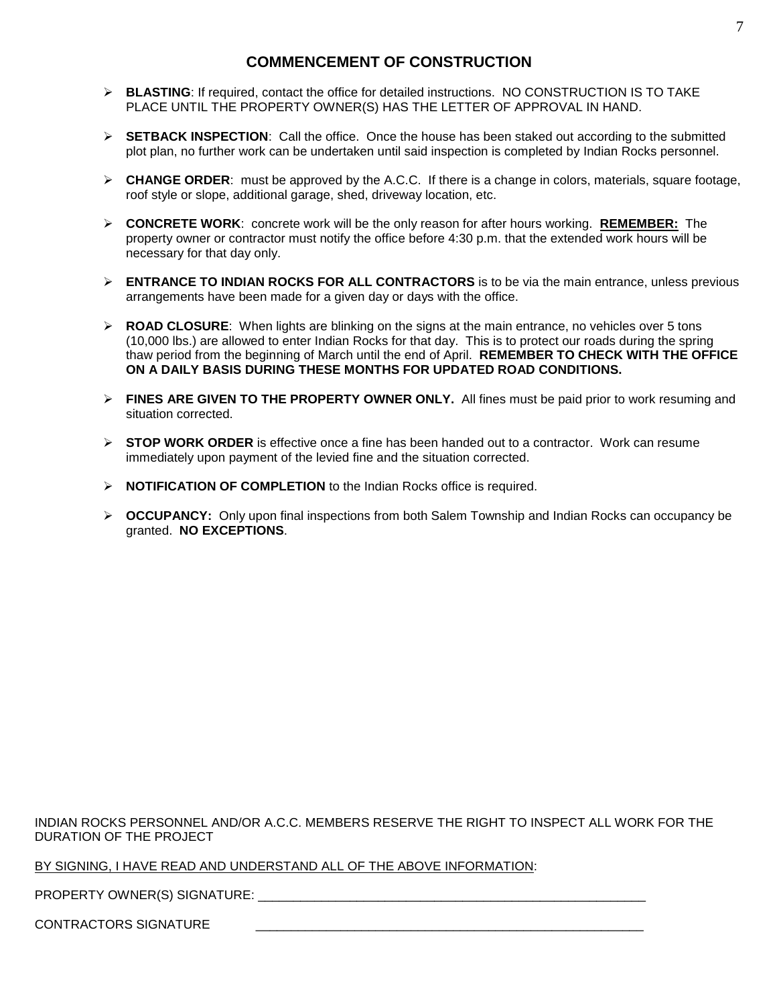## **COMMENCEMENT OF CONSTRUCTION**

- **BLASTING**: If required, contact the office for detailed instructions. NO CONSTRUCTION IS TO TAKE PLACE UNTIL THE PROPERTY OWNER(S) HAS THE LETTER OF APPROVAL IN HAND.
- **SETBACK INSPECTION**: Call the office. Once the house has been staked out according to the submitted plot plan, no further work can be undertaken until said inspection is completed by Indian Rocks personnel.
- $\triangleright$  **CHANGE ORDER**: must be approved by the A.C.C. If there is a change in colors, materials, square footage, roof style or slope, additional garage, shed, driveway location, etc.
- **CONCRETE WORK**: concrete work will be the only reason for after hours working. **REMEMBER:** The property owner or contractor must notify the office before 4:30 p.m. that the extended work hours will be necessary for that day only.
- **ENTRANCE TO INDIAN ROCKS FOR ALL CONTRACTORS** is to be via the main entrance, unless previous arrangements have been made for a given day or days with the office.
- **EXALT ADAD CLOSURE:** When lights are blinking on the signs at the main entrance, no vehicles over 5 tons (10,000 lbs.) are allowed to enter Indian Rocks for that day. This is to protect our roads during the spring thaw period from the beginning of March until the end of April. **REMEMBER TO CHECK WITH THE OFFICE ON A DAILY BASIS DURING THESE MONTHS FOR UPDATED ROAD CONDITIONS.**
- **FINES ARE GIVEN TO THE PROPERTY OWNER ONLY.** All fines must be paid prior to work resuming and situation corrected.
- **STOP WORK ORDER** is effective once a fine has been handed out to a contractor. Work can resume immediately upon payment of the levied fine and the situation corrected.
- **NOTIFICATION OF COMPLETION** to the Indian Rocks office is required.
- **OCCUPANCY:** Only upon final inspections from both Salem Township and Indian Rocks can occupancy be granted. **NO EXCEPTIONS**.

INDIAN ROCKS PERSONNEL AND/OR A.C.C. MEMBERS RESERVE THE RIGHT TO INSPECT ALL WORK FOR THE DURATION OF THE PROJECT

BY SIGNING, I HAVE READ AND UNDERSTAND ALL OF THE ABOVE INFORMATION:

PROPERTY OWNER(S) SIGNATURE:  $\blacksquare$ 

CONTRACTORS SIGNATURE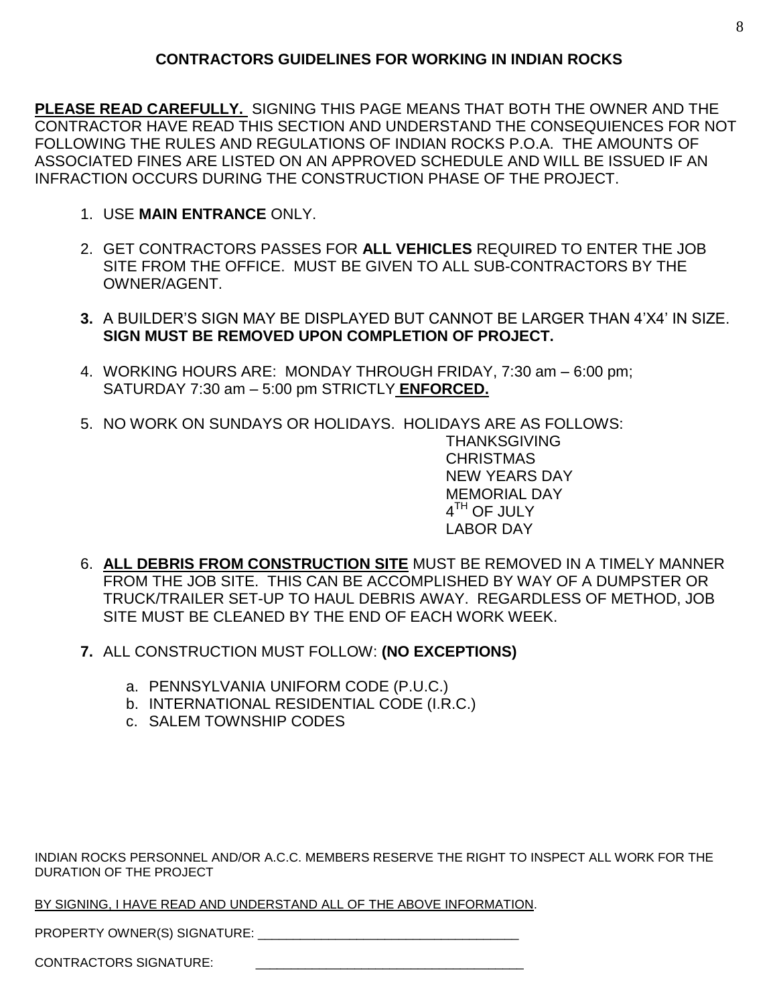**PLEASE READ CAREFULLY.** SIGNING THIS PAGE MEANS THAT BOTH THE OWNER AND THE CONTRACTOR HAVE READ THIS SECTION AND UNDERSTAND THE CONSEQUIENCES FOR NOT FOLLOWING THE RULES AND REGULATIONS OF INDIAN ROCKS P.O.A. THE AMOUNTS OF ASSOCIATED FINES ARE LISTED ON AN APPROVED SCHEDULE AND WILL BE ISSUED IF AN INFRACTION OCCURS DURING THE CONSTRUCTION PHASE OF THE PROJECT.

- 1. USE **MAIN ENTRANCE** ONLY.
- 2. GET CONTRACTORS PASSES FOR **ALL VEHICLES** REQUIRED TO ENTER THE JOB SITE FROM THE OFFICE. MUST BE GIVEN TO ALL SUB-CONTRACTORS BY THE OWNER/AGENT.
- **3.** A BUILDER'S SIGN MAY BE DISPLAYED BUT CANNOT BE LARGER THAN 4'X4' IN SIZE. **SIGN MUST BE REMOVED UPON COMPLETION OF PROJECT.**
- 4. WORKING HOURS ARE: MONDAY THROUGH FRIDAY, 7:30 am 6:00 pm; SATURDAY 7:30 am – 5:00 pm STRICTLY **ENFORCED.**
- 5. NO WORK ON SUNDAYS OR HOLIDAYS. HOLIDAYS ARE AS FOLLOWS: THANKSGIVING CHRISTMAS NEW YEARS DAY MEMORIAL DAY  $4^{\sf TH}$  OF JULY LABOR DAY
- 6. **ALL DEBRIS FROM CONSTRUCTION SITE** MUST BE REMOVED IN A TIMELY MANNER FROM THE JOB SITE. THIS CAN BE ACCOMPLISHED BY WAY OF A DUMPSTER OR TRUCK/TRAILER SET-UP TO HAUL DEBRIS AWAY. REGARDLESS OF METHOD, JOB SITE MUST BE CLEANED BY THE END OF FACH WORK WEEK.
- **7.** ALL CONSTRUCTION MUST FOLLOW: **(NO EXCEPTIONS)**
	- a. PENNSYLVANIA UNIFORM CODE (P.U.C.)
	- b. INTERNATIONAL RESIDENTIAL CODE (I.R.C.)
	- c. SALEM TOWNSHIP CODES

INDIAN ROCKS PERSONNEL AND/OR A.C.C. MEMBERS RESERVE THE RIGHT TO INSPECT ALL WORK FOR THE DURATION OF THE PROJECT

BY SIGNING, I HAVE READ AND UNDERSTAND ALL OF THE ABOVE INFORMATION.

PROPERTY OWNER(S) SIGNATURE:

CONTRACTORS SIGNATURE: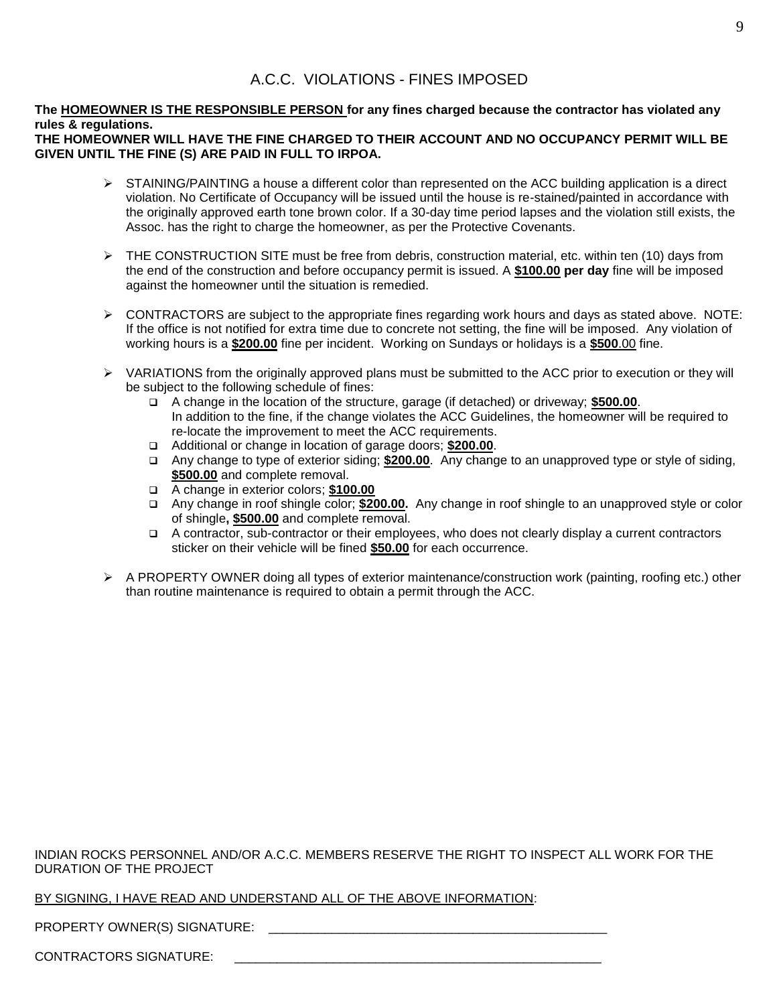## A.C.C. VIOLATIONS - FINES IMPOSED

### **The HOMEOWNER IS THE RESPONSIBLE PERSON for any fines charged because the contractor has violated any rules & regulations.**

### **THE HOMEOWNER WILL HAVE THE FINE CHARGED TO THEIR ACCOUNT AND NO OCCUPANCY PERMIT WILL BE GIVEN UNTIL THE FINE (S) ARE PAID IN FULL TO IRPOA.**

- $\triangleright$  STAINING/PAINTING a house a different color than represented on the ACC building application is a direct violation. No Certificate of Occupancy will be issued until the house is re-stained/painted in accordance with the originally approved earth tone brown color. If a 30-day time period lapses and the violation still exists, the Assoc. has the right to charge the homeowner, as per the Protective Covenants.
- $\triangleright$  THE CONSTRUCTION SITE must be free from debris, construction material, etc. within ten (10) days from the end of the construction and before occupancy permit is issued. A **\$100.00 per day** fine will be imposed against the homeowner until the situation is remedied.
- $\triangleright$  CONTRACTORS are subject to the appropriate fines regarding work hours and days as stated above. NOTE: If the office is not notified for extra time due to concrete not setting, the fine will be imposed. Any violation of working hours is a **\$200.00** fine per incident. Working on Sundays or holidays is a **\$500**.00 fine.
- $\triangleright$  VARIATIONS from the originally approved plans must be submitted to the ACC prior to execution or they will be subject to the following schedule of fines:
	- A change in the location of the structure, garage (if detached) or driveway; **\$500.00**. In addition to the fine, if the change violates the ACC Guidelines, the homeowner will be required to re-locate the improvement to meet the ACC requirements.
	- Additional or change in location of garage doors; **\$200.00**.
	- Any change to type of exterior siding; **\$200.00**. Any change to an unapproved type or style of siding, **\$500.00** and complete removal.
	- A change in exterior colors; **\$100.00**
	- Any change in roof shingle color; **\$200.00.** Any change in roof shingle to an unapproved style or color of shingle**, \$500.00** and complete removal.
	- A contractor, sub-contractor or their employees, who does not clearly display a current contractors sticker on their vehicle will be fined **\$50.00** for each occurrence.
- $\triangleright$  A PROPERTY OWNER doing all types of exterior maintenance/construction work (painting, roofing etc.) other than routine maintenance is required to obtain a permit through the ACC.

INDIAN ROCKS PERSONNEL AND/OR A.C.C. MEMBERS RESERVE THE RIGHT TO INSPECT ALL WORK FOR THE DURATION OF THE PROJECT

## BY SIGNING, I HAVE READ AND UNDERSTAND ALL OF THE ABOVE INFORMATION:

PROPERTY OWNER(S) SIGNATURE: **EXAMPLE** 

CONTRACTORS SIGNATURE: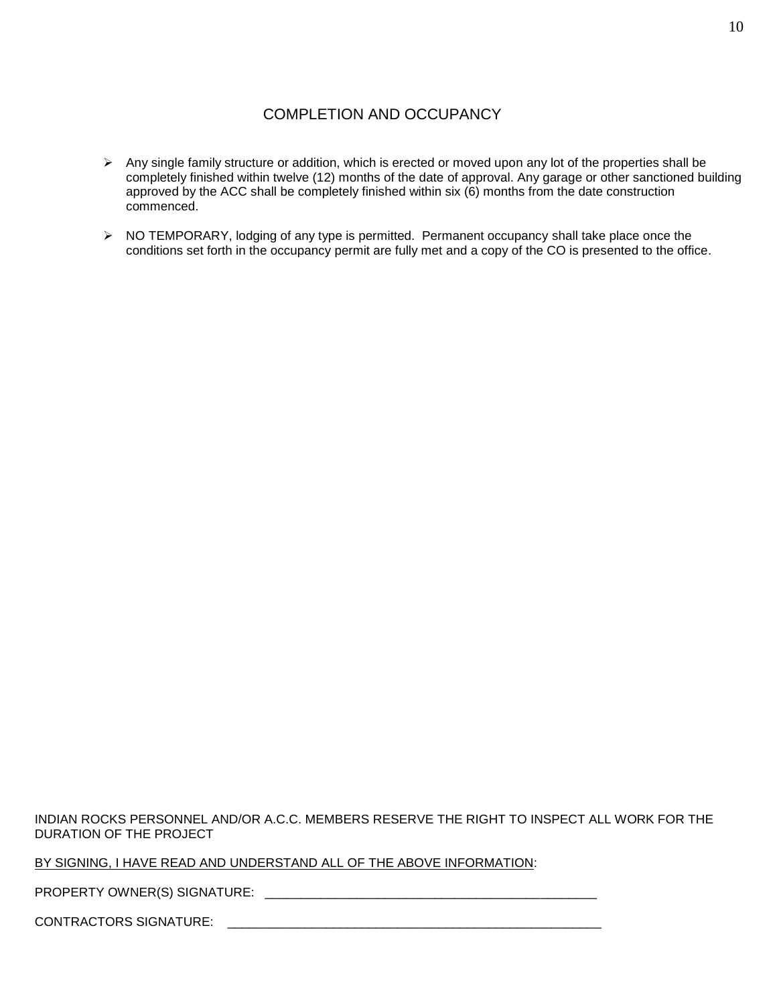# COMPLETION AND OCCUPANCY

- $\triangleright$  Any single family structure or addition, which is erected or moved upon any lot of the properties shall be completely finished within twelve (12) months of the date of approval. Any garage or other sanctioned building approved by the ACC shall be completely finished within six (6) months from the date construction commenced.
- > NO TEMPORARY, lodging of any type is permitted. Permanent occupancy shall take place once the conditions set forth in the occupancy permit are fully met and a copy of the CO is presented to the office.

INDIAN ROCKS PERSONNEL AND/OR A.C.C. MEMBERS RESERVE THE RIGHT TO INSPECT ALL WORK FOR THE DURATION OF THE PROJECT

BY SIGNING, I HAVE READ AND UNDERSTAND ALL OF THE ABOVE INFORMATION:

PROPERTY OWNER(S) SIGNATURE: \_\_\_\_\_\_\_\_\_\_\_\_\_\_\_\_\_\_\_\_\_\_\_\_\_\_\_\_\_\_\_\_\_\_\_\_\_\_\_\_\_\_\_\_\_\_\_

CONTRACTORS SIGNATURE: \_\_\_\_\_\_\_\_\_\_\_\_\_\_\_\_\_\_\_\_\_\_\_\_\_\_\_\_\_\_\_\_\_\_\_\_\_\_\_\_\_\_\_\_\_\_\_\_\_\_\_\_\_